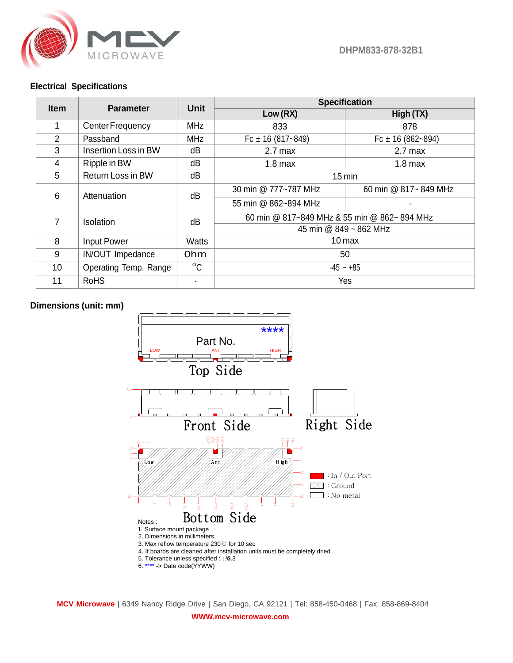

**DHPM833-878-32B1**

## **Electrical Specifications**

| <b>Item</b>    | <b>Parameter</b>      | Unit         | <b>Specification</b>                        |                       |
|----------------|-----------------------|--------------|---------------------------------------------|-----------------------|
|                |                       |              | Low(RX)                                     | High (TX)             |
| 1.             | Center Frequency      | <b>MHz</b>   | 833                                         | 878                   |
| $\overline{2}$ | Passband              | <b>MHz</b>   | Fc $\pm$ 16 (817~849)                       | Fc $\pm$ 16 (862~894) |
| 3              | Insertion Loss in BW  | dB           | $2.7$ max                                   | $2.7$ max             |
| 4              | Ripple in BW          | dΒ           | $1.8$ max                                   | $1.8$ max             |
| 5              | Return Loss in BW     | dB           | $15 \text{ min}$                            |                       |
| 6              | Attenuation           | dB           | 30 min @ 777~787 MHz                        | 60 min @ 817~849 MHz  |
|                |                       |              | 55 min @ 862~894 MHz                        |                       |
| $\overline{7}$ | <b>Isolation</b>      | dB           | 60 min @ 817~849 MHz & 55 min @ 862~894 MHz |                       |
|                |                       |              | 45 min @ 849 ~ 862 MHz                      |                       |
| 8              | <b>Input Power</b>    | <b>Watts</b> | $10 \,\mathrm{max}$                         |                       |
| 9              | IN/OUT Impedance      | 0hm          | 50                                          |                       |
| 10             | Operating Temp. Range | $^{\circ}$ C | $-45 - +85$                                 |                       |
| 11             | <b>RoHS</b>           |              | Yes                                         |                       |

## **Dimensions (unit: mm)**

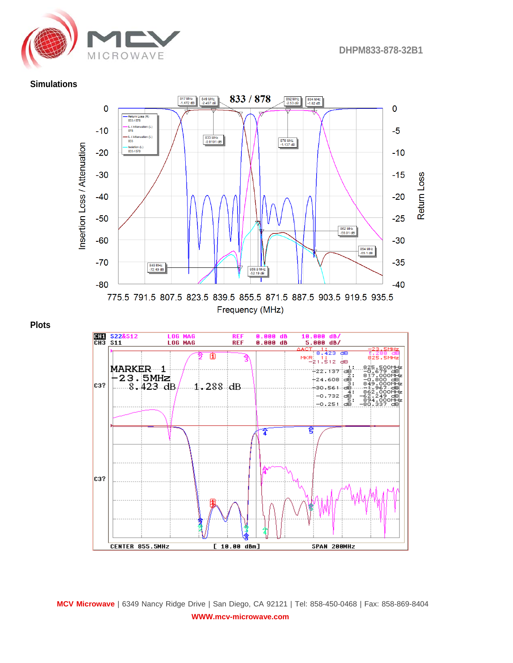

## **Simulations**







**MCV Microwave** | 6349 Nancy Ridge Drive | San Diego, CA 92121 | Tel: 858-450-0468 | Fax: 858-869-8404 **WWW.mcv-microwave.com**